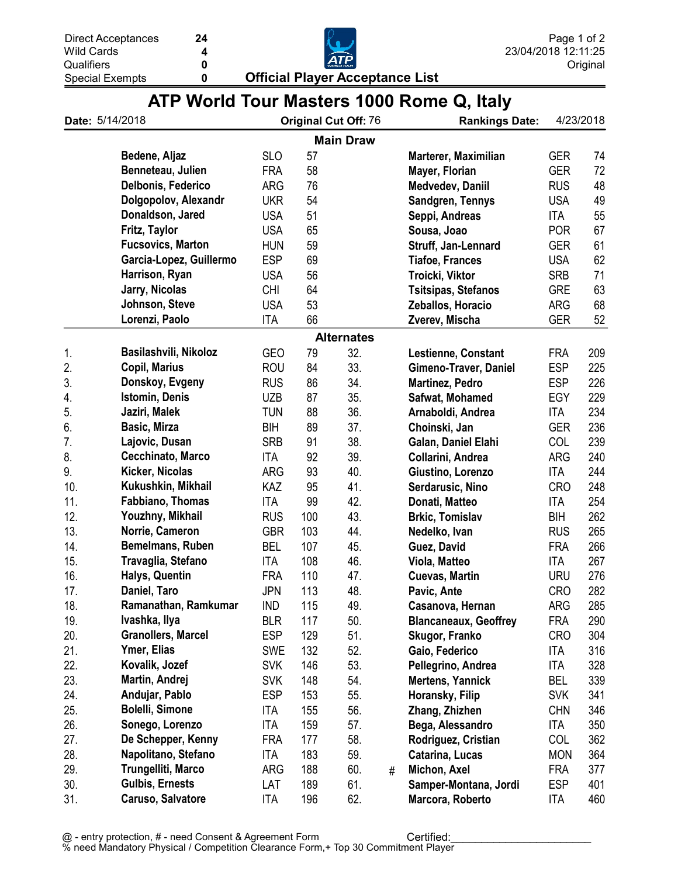**Official Player Acceptance List** 



| ATP World Tour Masters 1000 Rome Q, Italy |  |  |  |  |  |  |  |  |
|-------------------------------------------|--|--|--|--|--|--|--|--|
|-------------------------------------------|--|--|--|--|--|--|--|--|

| Date: 5/14/2018 |                           | <b>Original Cut Off: 76</b> |     |                   | <b>Rankings Date:</b> | 4/23/2018                    |            |     |
|-----------------|---------------------------|-----------------------------|-----|-------------------|-----------------------|------------------------------|------------|-----|
|                 |                           |                             |     | <b>Main Draw</b>  |                       |                              |            |     |
|                 | Bedene, Aljaz             | <b>SLO</b>                  | 57  |                   |                       | Marterer, Maximilian         | <b>GER</b> | 74  |
|                 | Benneteau, Julien         | <b>FRA</b>                  | 58  |                   |                       | Mayer, Florian               | <b>GER</b> | 72  |
|                 | Delbonis, Federico        | <b>ARG</b>                  | 76  |                   |                       | Medvedev, Daniil             | <b>RUS</b> | 48  |
|                 | Dolgopolov, Alexandr      | <b>UKR</b>                  | 54  |                   |                       | Sandgren, Tennys             | <b>USA</b> | 49  |
|                 | Donaldson, Jared          | <b>USA</b>                  | 51  |                   |                       | Seppi, Andreas               | <b>ITA</b> | 55  |
|                 | Fritz, Taylor             | <b>USA</b>                  | 65  |                   |                       | Sousa, Joao                  | <b>POR</b> | 67  |
|                 | <b>Fucsovics, Marton</b>  | <b>HUN</b>                  | 59  |                   |                       | Struff, Jan-Lennard          | <b>GER</b> | 61  |
|                 | Garcia-Lopez, Guillermo   | <b>ESP</b>                  | 69  |                   |                       | <b>Tiafoe, Frances</b>       | <b>USA</b> | 62  |
|                 | Harrison, Ryan            | <b>USA</b>                  | 56  |                   |                       | Troicki, Viktor              | <b>SRB</b> | 71  |
|                 | Jarry, Nicolas            | <b>CHI</b>                  | 64  |                   |                       | <b>Tsitsipas, Stefanos</b>   | <b>GRE</b> | 63  |
|                 | Johnson, Steve            | <b>USA</b>                  | 53  |                   |                       | Zeballos, Horacio            | <b>ARG</b> | 68  |
|                 | Lorenzi, Paolo            | <b>ITA</b>                  | 66  |                   |                       | Zverev, Mischa               | <b>GER</b> | 52  |
|                 |                           |                             |     | <b>Alternates</b> |                       |                              |            |     |
| 1.              | Basilashvili, Nikoloz     | <b>GEO</b>                  | 79  | 32.               |                       | Lestienne, Constant          | <b>FRA</b> | 209 |
| 2.              | <b>Copil, Marius</b>      | <b>ROU</b>                  | 84  | 33.               |                       | Gimeno-Traver, Daniel        | <b>ESP</b> | 225 |
| 3.              | Donskoy, Evgeny           | <b>RUS</b>                  | 86  | 34.               |                       | <b>Martinez, Pedro</b>       | <b>ESP</b> | 226 |
| 4.              | Istomin, Denis            | <b>UZB</b>                  | 87  | 35.               |                       | Safwat, Mohamed              | EGY        | 229 |
| 5.              | Jaziri, Malek             | <b>TUN</b>                  | 88  | 36.               |                       | Arnaboldi, Andrea            | ITA        | 234 |
| 6.              | Basic, Mirza              | <b>BIH</b>                  | 89  | 37.               |                       | Choinski, Jan                | <b>GER</b> | 236 |
| 7.              | Lajovic, Dusan            | <b>SRB</b>                  | 91  | 38.               |                       | Galan, Daniel Elahi          | COL        | 239 |
| 8.              | Cecchinato, Marco         | ITA                         | 92  | 39.               |                       | Collarini, Andrea            | <b>ARG</b> | 240 |
| 9.              | Kicker, Nicolas           | <b>ARG</b>                  | 93  | 40.               |                       | Giustino, Lorenzo            | ITA        | 244 |
| 10.             | Kukushkin, Mikhail        | KAZ                         | 95  | 41.               |                       | Serdarusic, Nino             | <b>CRO</b> | 248 |
| 11.             | Fabbiano, Thomas          | ITA                         | 99  | 42.               |                       | Donati, Matteo               | ITA        | 254 |
| 12.             | Youzhny, Mikhail          | <b>RUS</b>                  | 100 | 43.               |                       | <b>Brkic, Tomislav</b>       | BIH        | 262 |
| 13.             | Norrie, Cameron           | <b>GBR</b>                  | 103 | 44.               |                       | Nedelko, Ivan                | <b>RUS</b> | 265 |
| 14.             | Bemelmans, Ruben          | <b>BEL</b>                  | 107 | 45.               |                       | Guez, David                  | <b>FRA</b> | 266 |
| 15.             | Travaglia, Stefano        | ITA                         | 108 | 46.               |                       | Viola, Matteo                | ITA        | 267 |
| 16.             | Halys, Quentin            | <b>FRA</b>                  | 110 | 47.               |                       | <b>Cuevas, Martin</b>        | <b>URU</b> | 276 |
| 17.             | Daniel, Taro              | <b>JPN</b>                  | 113 | 48.               |                       | Pavic, Ante                  | <b>CRO</b> | 282 |
| 18.             | Ramanathan, Ramkumar      | <b>IND</b>                  | 115 | 49.               |                       | Casanova, Hernan             | ARG        | 285 |
| 19.             | Ivashka, Ilya             | <b>BLR</b>                  | 117 | 50.               |                       | <b>Blancaneaux, Geoffrey</b> | FRA        | 290 |
| 20.             | <b>Granollers, Marcel</b> | <b>ESP</b>                  | 129 | 51.               |                       | Skugor, Franko               | <b>CRO</b> | 304 |
| 21.             | Ymer, Elias               | <b>SWE</b>                  | 132 | 52.               |                       | Gaio, Federico               | <b>ITA</b> | 316 |
| 22.             | Kovalik, Jozef            | <b>SVK</b>                  | 146 | 53.               |                       | Pellegrino, Andrea           | <b>ITA</b> | 328 |
| 23.             | Martin, Andrej            | <b>SVK</b>                  | 148 | 54.               |                       | <b>Mertens, Yannick</b>      | <b>BEL</b> | 339 |
| 24.             | Andujar, Pablo            | <b>ESP</b>                  | 153 | 55.               |                       | Horansky, Filip              | <b>SVK</b> | 341 |
| 25.             | <b>Bolelli, Simone</b>    | ITA                         | 155 | 56.               |                       | Zhang, Zhizhen               | <b>CHN</b> | 346 |
| 26.             | Sonego, Lorenzo           | <b>ITA</b>                  | 159 | 57.               |                       | Bega, Alessandro             | ITA        | 350 |
| 27.             | De Schepper, Kenny        | <b>FRA</b>                  | 177 | 58.               |                       | Rodriguez, Cristian          | <b>COL</b> | 362 |
| 28.             | Napolitano, Stefano       | ITA                         | 183 | 59.               |                       | Catarina, Lucas              | <b>MON</b> | 364 |
| 29.             | Trungelliti, Marco        | ARG                         | 188 | 60.               | #                     | Michon, Axel                 | <b>FRA</b> | 377 |
| 30.             | <b>Gulbis, Ernests</b>    | LAT                         | 189 | 61.               |                       | Samper-Montana, Jordi        | <b>ESP</b> | 401 |
| 31.             | Caruso, Salvatore         | <b>ITA</b>                  | 196 | 62.               |                       | Marcora, Roberto             | <b>ITA</b> | 460 |